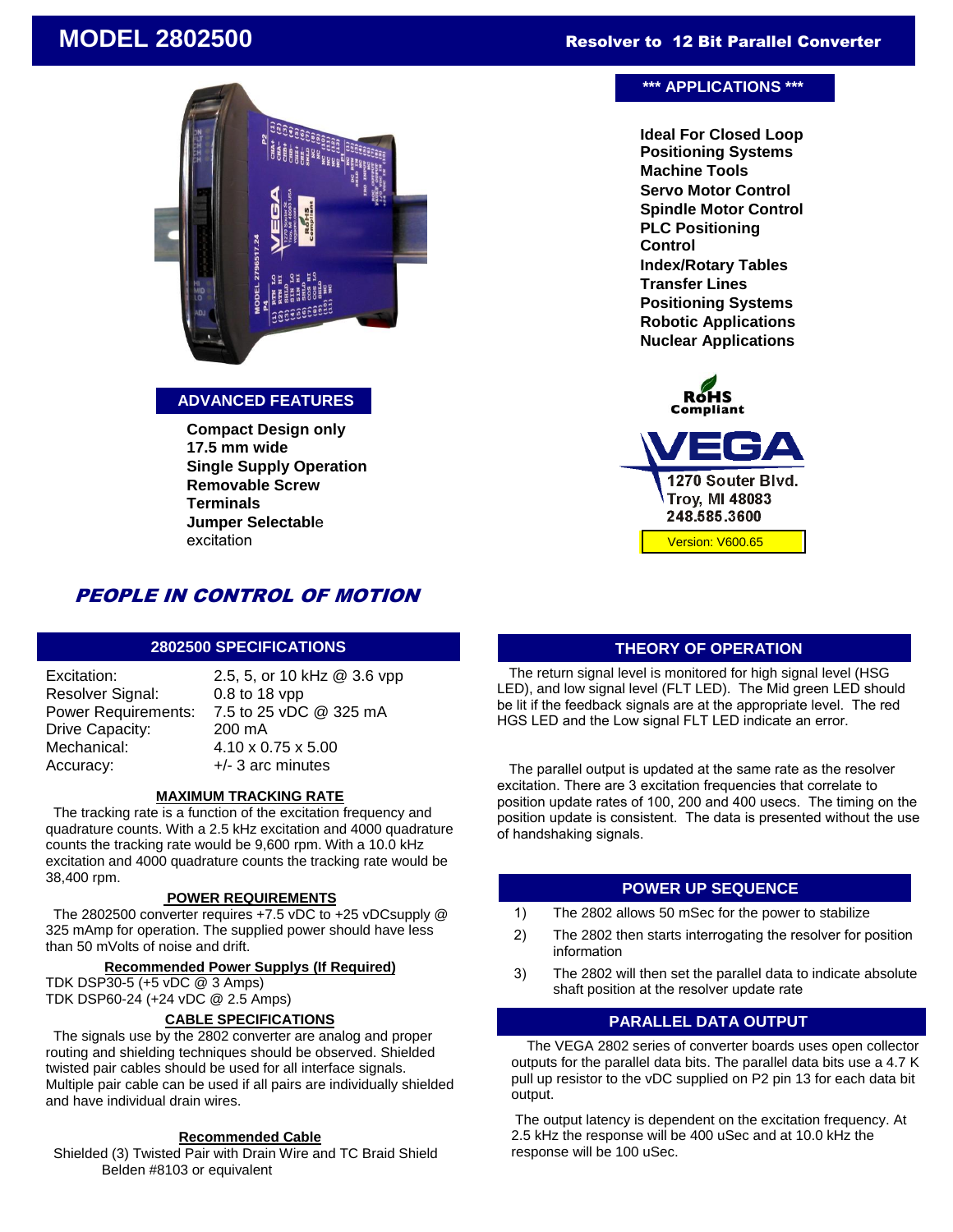# Resolver to 12 Bit Parallel Converter

# **MODEL 2802500**



### **ADVANCED FEATURES**

**Compact Design only 17.5 mm wide Single Supply Operation Removable Screw Terminals Jumper Selectabl**e excitation

#### PEOPLE IN CONTROL OF MOTION  $\blacksquare$

### **2802500 SPECIFICATIONS**

Excitation: Resolver Signal: Power Requirements: Drive Capacity: Mechanical: Accuracy:

2.5, 5, or 10 kHz @ 3.6 vpp 0.8 to 18 vpp 7.5 to 25 vDC @ 325 mA 200 mA 4.10 x 0.75 x 5.00 +/- 3 arc minutes

### **MAXIMUM TRACKING RATE**

 The tracking rate is a function of the excitation frequency and quadrature counts. With a 2.5 kHz excitation and 4000 quadrature counts the tracking rate would be 9,600 rpm. With a 10.0 kHz excitation and 4000 quadrature counts the tracking rate would be 38,400 rpm.

#### **POWER REQUIREMENTS**

 The 2802500 converter requires +7.5 vDC to +25 vDCsupply @ 325 mAmp for operation. The supplied power should have less than 50 mVolts of noise and drift.

#### **Recommended Power Supplys (If Required)**

TDK DSP30-5 (+5 vDC @ 3 Amps) TDK DSP60-24 (+24 vDC @ 2.5 Amps)

#### **CABLE SPECIFICATIONS**

 The signals use by the 2802 converter are analog and proper routing and shielding techniques should be observed. Shielded twisted pair cables should be used for all interface signals. Multiple pair cable can be used if all pairs are individually shielded and have individual drain wires.

#### **Recommended Cable**

 Shielded (3) Twisted Pair with Drain Wire and TC Braid Shield Belden #8103 or equivalent

### **\*\*\* APPLICATIONS \*\*\***

**Ideal For Closed Loop Positioning Systems Machine Tools Servo Motor Control Spindle Motor Control PLC Positioning Control Index/Rotary Tables Transfer Lines Positioning Systems Robotic Applications Nuclear Applications**



### **THEORY OF OPERATION**

 The return signal level is monitored for high signal level (HSG LED), and low signal level (FLT LED). The Mid green LED should be lit if the feedback signals are at the appropriate level. The red HGS LED and the Low signal FLT LED indicate an error.

 The parallel output is updated at the same rate as the resolver excitation. There are 3 excitation frequencies that correlate to position update rates of 100, 200 and 400 usecs. The timing on the position update is consistent. The data is presented without the use of handshaking signals.

### **POWER UP SEQUENCE**

- 1) The 2802 allows 50 mSec for the power to stabilize
- 2) The 2802 then starts interrogating the resolver for position information
- 3) The 2802 will then set the parallel data to indicate absolute shaft position at the resolver update rate

### **PARALLEL DATA OUTPUT**

 The VEGA 2802 series of converter boards uses open collector outputs for the parallel data bits. The parallel data bits use a 4.7 K pull up resistor to the vDC supplied on P2 pin 13 for each data bit output.

The output latency is dependent on the excitation frequency. At 2.5 kHz the response will be 400 uSec and at 10.0 kHz the response will be 100 uSec.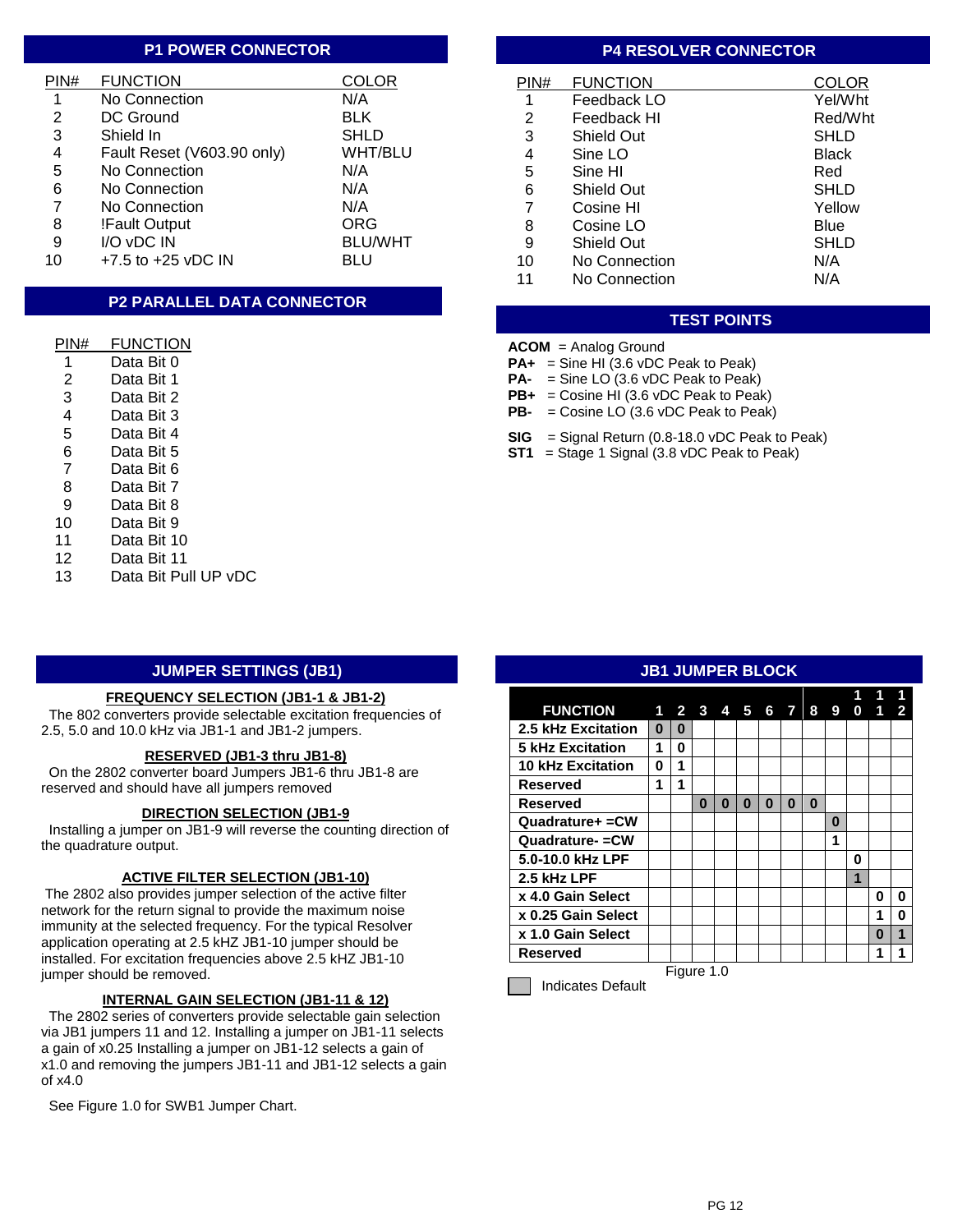### **P1 POWER CONNECTOR**

| PIN# | <b>FUNCTION</b>            | COLOR          |
|------|----------------------------|----------------|
| 1    | No Connection              | N/A            |
| 2    | DC Ground                  | <b>BLK</b>     |
| 3    | Shield In                  | <b>SHLD</b>    |
| 4    | Fault Reset (V603.90 only) | WHT/BLU        |
| 5    | No Connection              | N/A            |
| 6    | No Connection              | N/A            |
| 7    | No Connection              | N/A            |
| 8    | !Fault Output              | <b>ORG</b>     |
| 9    | I/O vDC IN                 | <b>BLU/WHT</b> |
| 10   | $+7.5$ to $+25$ vDC IN     | BLU            |

# **P2 PARALLEL DATA CONNECTOR**

| PIN# | FUNCTION             |
|------|----------------------|
| 1    | Data Bit 0           |
| 2    | Data Bit 1           |
| 3    | Data Bit 2           |
| 4    | Data Bit 3           |
| 5    | Data Bit 4           |
| 6    | Data Bit 5           |
| 7    | Data Bit 6           |
| 8    | Data Bit 7           |
| 9    | Data Bit 8           |
| 10   | Data Bit 9           |
| 11   | Data Bit 10          |
| 12   | Data Bit 11          |
| 13   | Data Bit Pull UP vDC |

### **JUMPER SETTINGS (JB1)**

#### **FREQUENCY SELECTION (JB1-1 & JB1-2)**

 The 802 converters provide selectable excitation frequencies of 2.5, 5.0 and 10.0 kHz via JB1-1 and JB1-2 jumpers.

#### **RESERVED (JB1-3 thru JB1-8)**

 On the 2802 converter board Jumpers JB1-6 thru JB1-8 are reserved and should have all jumpers removed

#### **DIRECTION SELECTION (JB1-9**

 Installing a jumper on JB1-9 will reverse the counting direction of the quadrature output.

#### **ACTIVE FILTER SELECTION (JB1-10)**

 The 2802 also provides jumper selection of the active filter network for the return signal to provide the maximum noise immunity at the selected frequency. For the typical Resolver application operating at 2.5 kHZ JB1-10 jumper should be installed. For excitation frequencies above 2.5 kHZ JB1-10 jumper should be removed.

#### **INTERNAL GAIN SELECTION (JB1-11 & 12)**

 The 2802 series of converters provide selectable gain selection via JB1 jumpers 11 and 12. Installing a jumper on JB1-11 selects a gain of x0.25 Installing a jumper on JB1-12 selects a gain of x1.0 and removing the jumpers JB1-11 and JB1-12 selects a gain of x4.0

See Figure 1.0 for SWB1 Jumper Chart.

### **P4 RESOLVER CONNECTOR**

| PIN# | <b>FUNCTION</b>   | COLOR        |
|------|-------------------|--------------|
| 1    | Feedback LO       | Yel/Wht      |
| 2    | Feedback HI       | Red/Wht      |
| 3    | Shield Out        | SHLD         |
| 4    | Sine LO           | <b>Black</b> |
| 5    | Sine HI           | Red          |
| 6    | Shield Out        | SHLD         |
| 7    | Cosine HI         | Yellow       |
| 8    | Cosine LO         | Blue         |
| 9    | <b>Shield Out</b> | <b>SHLD</b>  |
| 10   | No Connection     | N/A          |
| 11   | No Connection     | N/A          |

# **TEST POINTS**

# **ACOM** = Analog Ground

- **PA+** = Sine HI (3.6 vDC Peak to Peak)
- **PA-** = Sine LO (3.6 vDC Peak to Peak)
- **PB+** = Cosine HI (3.6 vDC Peak to Peak) **PB-** = Cosine LO (3.6 vDC Peak to Peak)
- 
- **SIG** = Signal Return (0.8-18.0 vDC Peak to Peak)
- **ST1** = Stage 1 Signal (3.8 vDC Peak to Peak)

#### **JB1 JUMPER BLOCK**

| <b>FUNCTION</b>          | 1          | $\mathbf{2}$ | $\clubsuit$ | 4 | 5 | 6 | 7 | 8 | 9 | 0 |   | 2 |
|--------------------------|------------|--------------|-------------|---|---|---|---|---|---|---|---|---|
| 2.5 kHz Excitation       | 0          | 0            |             |   |   |   |   |   |   |   |   |   |
| <b>5 kHz Excitation</b>  | 1          | 0            |             |   |   |   |   |   |   |   |   |   |
| <b>10 kHz Excitation</b> | 0          | 1            |             |   |   |   |   |   |   |   |   |   |
| Reserved                 | 1          | 1            |             |   |   |   |   |   |   |   |   |   |
| Reserved                 |            |              | ŋ           | N | O | ŋ | ŋ | 0 |   |   |   |   |
| Quadrature+ = CW         |            |              |             |   |   |   |   |   | 0 |   |   |   |
| Quadrature- = CW         |            |              |             |   |   |   |   |   | 1 |   |   |   |
| 5.0-10.0 kHz LPF         |            |              |             |   |   |   |   |   |   | ŋ |   |   |
| 2.5 kHz LPF              |            |              |             |   |   |   |   |   |   | 1 |   |   |
| x 4.0 Gain Select        |            |              |             |   |   |   |   |   |   |   | ŋ | O |
| x 0.25 Gain Select       |            |              |             |   |   |   |   |   |   |   | 1 | 0 |
| x 1.0 Gain Select        |            |              |             |   |   |   |   |   |   |   | ŋ | 1 |
| Reserved                 |            |              |             |   |   |   |   |   |   |   | 1 | 1 |
|                          | Figure 1.0 |              |             |   |   |   |   |   |   |   |   |   |

Indicates Default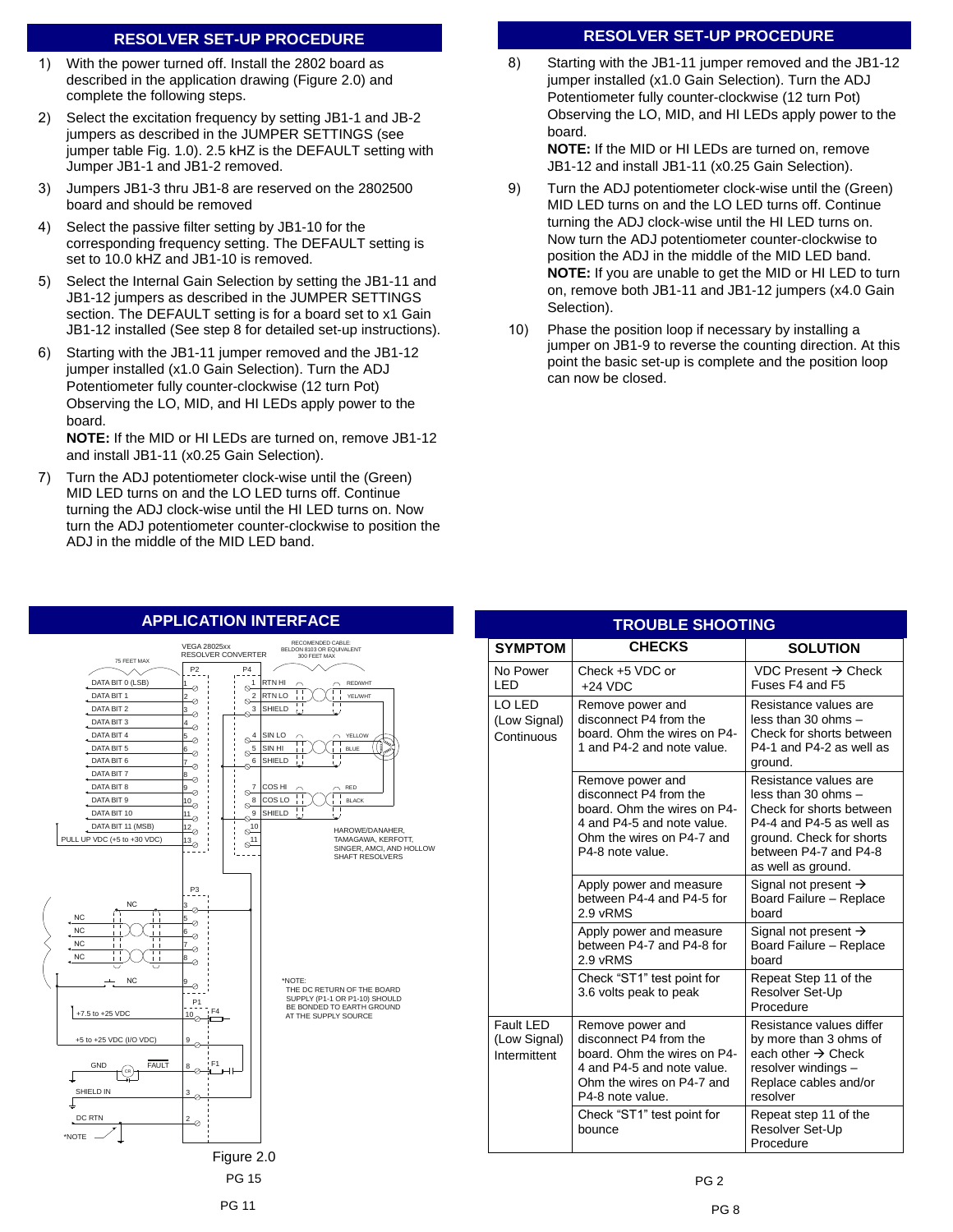## **RESOLVER SET-UP PROCEDURE**

- 1) With the power turned off. Install the 2802 board as described in the application drawing (Figure 2.0) and complete the following steps.
- 2) Select the excitation frequency by setting JB1-1 and JB-2 jumpers as described in the JUMPER SETTINGS (see jumper table Fig. 1.0). 2.5 kHZ is the DEFAULT setting with Jumper JB1-1 and JB1-2 removed.
- 3) Jumpers JB1-3 thru JB1-8 are reserved on the 2802500 board and should be removed
- 4) Select the passive filter setting by JB1-10 for the corresponding frequency setting. The DEFAULT setting is set to 10.0 kHZ and JB1-10 is removed.
- 5) Select the Internal Gain Selection by setting the JB1-11 and JB1-12 jumpers as described in the JUMPER SETTINGS section. The DEFAULT setting is for a board set to x1 Gain JB1-12 installed (See step 8 for detailed set-up instructions).
- 6) Starting with the JB1-11 jumper removed and the JB1-12 jumper installed (x1.0 Gain Selection). Turn the ADJ Potentiometer fully counter-clockwise (12 turn Pot) Observing the LO, MID, and HI LEDs apply power to the board.

**NOTE:** If the MID or HI LEDs are turned on, remove JB1-12 and install JB1-11 (x0.25 Gain Selection).

7) Turn the ADJ potentiometer clock-wise until the (Green) MID LED turns on and the LO LED turns off. Continue turning the ADJ clock-wise until the HI LED turns on. Now turn the ADJ potentiometer counter-clockwise to position the ADJ in the middle of the MID LED band.

# **RESOLVER SET-UP PROCEDURE**

8) Starting with the JB1-11 jumper removed and the JB1-12 jumper installed (x1.0 Gain Selection). Turn the ADJ Potentiometer fully counter-clockwise (12 turn Pot) Observing the LO, MID, and HI LEDs apply power to the board.

**NOTE:** If the MID or HI LEDs are turned on, remove JB1-12 and install JB1-11 (x0.25 Gain Selection).

- 9) Turn the ADJ potentiometer clock-wise until the (Green) MID LED turns on and the LO LED turns off. Continue turning the ADJ clock-wise until the HI LED turns on. Now turn the ADJ potentiometer counter-clockwise to position the ADJ in the middle of the MID LED band. **NOTE:** If you are unable to get the MID or HI LED to turn on, remove both JB1-11 and JB1-12 jumpers (x4.0 Gain Selection).
- 10) Phase the position loop if necessary by installing a jumper on JB1-9 to reverse the counting direction. At this point the basic set-up is complete and the position loop can now be closed.

# **APPLICATION INTERFACE**



| <b>TROUBLE SHOOTING</b>                   |                                                                                                                                                          |                                                                                                                                                                                   |  |  |  |  |  |
|-------------------------------------------|----------------------------------------------------------------------------------------------------------------------------------------------------------|-----------------------------------------------------------------------------------------------------------------------------------------------------------------------------------|--|--|--|--|--|
| <b>SYMPTOM</b>                            | <b>CHECKS</b>                                                                                                                                            | <b>SOLUTION</b>                                                                                                                                                                   |  |  |  |  |  |
| No Power<br>LED                           | Check +5 VDC or<br>$+24$ VDC                                                                                                                             | VDC Present $\rightarrow$ Check<br>Fuses F4 and F5                                                                                                                                |  |  |  |  |  |
| LO LED<br>(Low Signal)<br>Continuous      | Remove power and<br>disconnect P4 from the<br>board. Ohm the wires on P4-<br>1 and P4-2 and note value.                                                  | Resistance values are<br>less than 30 ohms $-$<br>Check for shorts between<br>P4-1 and P4-2 as well as<br>ground.                                                                 |  |  |  |  |  |
|                                           | Remove power and<br>disconnect P4 from the<br>board. Ohm the wires on P4-<br>4 and P4-5 and note value.<br>Ohm the wires on P4-7 and<br>P4-8 note value. | Resistance values are<br>less than 30 ohms $-$<br>Check for shorts between<br>P4-4 and P4-5 as well as<br>ground. Check for shorts<br>between P4-7 and P4-8<br>as well as ground. |  |  |  |  |  |
|                                           | Apply power and measure<br>between P4-4 and P4-5 for<br>2.9 vRMS                                                                                         | Signal not present $\rightarrow$<br>Board Failure - Replace<br>board                                                                                                              |  |  |  |  |  |
|                                           | Apply power and measure<br>between P4-7 and P4-8 for<br>2.9 vRMS                                                                                         | Signal not present $\rightarrow$<br>Board Failure - Replace<br>board                                                                                                              |  |  |  |  |  |
|                                           | Check "ST1" test point for<br>3.6 volts peak to peak                                                                                                     | Repeat Step 11 of the<br>Resolver Set-Up<br>Procedure                                                                                                                             |  |  |  |  |  |
| Fault LED<br>(Low Signal)<br>Intermittent | Remove power and<br>disconnect P4 from the<br>board. Ohm the wires on P4-<br>4 and P4-5 and note value.<br>Ohm the wires on P4-7 and<br>P4-8 note value. | Resistance values differ<br>by more than 3 ohms of<br>each other $\rightarrow$ Check<br>resolver windings -<br>Replace cables and/or<br>resolver                                  |  |  |  |  |  |
|                                           | Check "ST1" test point for<br>bounce                                                                                                                     | Repeat step 11 of the<br>Resolver Set-Up<br>Procedure                                                                                                                             |  |  |  |  |  |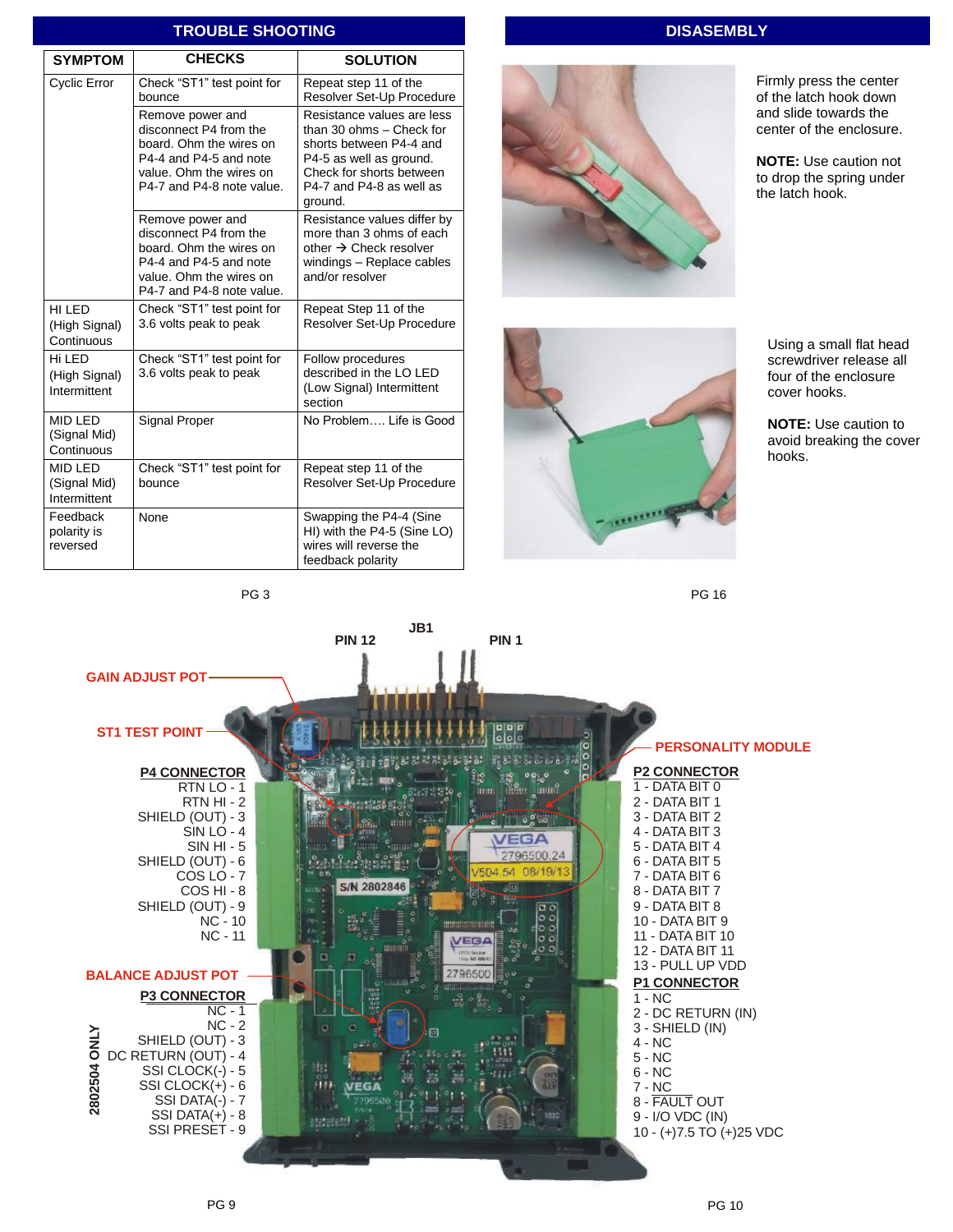|                | ו געטאבב אוויס ווויש                           |                                                                                                                                                         |                                                                                                                                                                                 |  |  |  |  |  |
|----------------|------------------------------------------------|---------------------------------------------------------------------------------------------------------------------------------------------------------|---------------------------------------------------------------------------------------------------------------------------------------------------------------------------------|--|--|--|--|--|
| <b>SYMPTOM</b> |                                                | <b>CHECKS</b>                                                                                                                                           | <b>SOLUTION</b>                                                                                                                                                                 |  |  |  |  |  |
|                | <b>Cyclic Error</b>                            | Check "ST1" test point for<br>bounce                                                                                                                    | Repeat step 11 of the<br>Resolver Set-Up Procedure                                                                                                                              |  |  |  |  |  |
|                |                                                | Remove power and<br>disconnect P4 from the<br>board. Ohm the wires on<br>P4-4 and P4-5 and note<br>value. Ohm the wires on<br>P4-7 and P4-8 note value. | Resistance values are less<br>than 30 ohms - Check for<br>shorts between P4-4 and<br>P4-5 as well as ground.<br>Check for shorts between<br>P4-7 and P4-8 as well as<br>ground. |  |  |  |  |  |
|                |                                                | Remove power and<br>disconnect P4 from the<br>board. Ohm the wires on<br>P4-4 and P4-5 and note<br>value. Ohm the wires on<br>P4-7 and P4-8 note value. | Resistance values differ by<br>more than 3 ohms of each<br>other $\rightarrow$ Check resolver<br>windings - Replace cables<br>and/or resolver                                   |  |  |  |  |  |
|                | HI LED<br>(High Signal)<br>Continuous          | Check "ST1" test point for<br>3.6 volts peak to peak                                                                                                    | Repeat Step 11 of the<br>Resolver Set-Up Procedure                                                                                                                              |  |  |  |  |  |
|                | Hi LED<br>(High Signal)<br>Intermittent        | Check "ST1" test point for<br>3.6 volts peak to peak                                                                                                    | Follow procedures<br>described in the LO LED<br>(Low Signal) Intermittent<br>section                                                                                            |  |  |  |  |  |
|                | MID LED<br>(Signal Mid)<br>Continuous          | <b>Signal Proper</b>                                                                                                                                    | No Problem Life is Good                                                                                                                                                         |  |  |  |  |  |
|                | <b>MID LED</b><br>(Signal Mid)<br>Intermittent | Check "ST1" test point for<br>bounce                                                                                                                    | Repeat step 11 of the<br>Resolver Set-Up Procedure                                                                                                                              |  |  |  |  |  |
|                | Feedback<br>polarity is<br>reversed            | None                                                                                                                                                    | Swapping the P4-4 (Sine<br>HI) with the P4-5 (Sine LO)<br>wires will reverse the<br>feedback polarity                                                                           |  |  |  |  |  |

**TROUBLE SHOOTING** 

# **DISASEMBLY**

PG 16



Firmly press the center of the latch hook down and slide towards the center of the enclosure.

**NOTE:** Use caution not to drop the spring under the latch hook.



Using a small flat head screwdriver release all four of the enclosure cover hooks.

**NOTE:** Use caution to avoid breaking the cover hooks.

PG 3